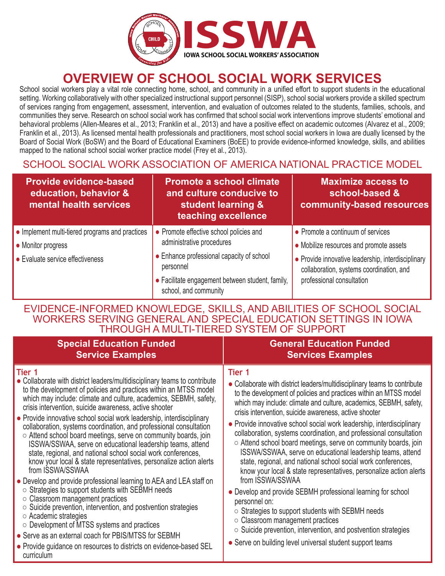

# **OVERVIEW OF SCHOOL SOCIAL WORK SERVICES**

School social workers play a vital role connecting home, school, and community in a unified effort to support students in the educational setting. Working collaboratively with other specialized instructional support personnel (SISP), school social workers provide a skilled spectrum of services ranging from engagement, assessment, intervention, and evaluation of outcomes related to the students, families, schools, and communities they serve. Research on school social work has confirmed that school social work interventions improve students' emotional and behavioral problems (Allen-Meares et al., 2013; Franklin et al., 2013) and have a positive effect on academic outcomes (Alvarez et al., 2009; Franklin et al., 2013). As licensed mental health professionals and practitioners, most school social workers in Iowa are dually licensed by the Board of Social Work (BoSW) and the Board of Educational Examiners (BoEE) to provide evidence-informed knowledge, skills, and abilities mapped to the national school social worker practice model (Frey et al., 2013).

### SCHOOL SOCIAL WORK ASSOCIATION OF AMERICA NATIONAL PRACTICE MODEL

| <b>Provide evidence-based</b><br>education, behavior &<br>mental health services                          | <b>Promote a school climate</b><br>and culture conducive to<br>student learning &<br>teaching excellence                                                                                                    | <b>Maximize access to</b><br>school-based &<br>community-based resources                                                                                                                                    |
|-----------------------------------------------------------------------------------------------------------|-------------------------------------------------------------------------------------------------------------------------------------------------------------------------------------------------------------|-------------------------------------------------------------------------------------------------------------------------------------------------------------------------------------------------------------|
| • Implement multi-tiered programs and practices<br>• Monitor progress<br>• Evaluate service effectiveness | • Promote effective school policies and<br>administrative procedures<br>• Enhance professional capacity of school<br>personnel<br>• Facilitate engagement between student, family,<br>school, and community | • Promote a continuum of services<br>• Mobilize resources and promote assets<br>• Provide innovative leadership, interdisciplinary<br>collaboration, systems coordination, and<br>professional consultation |

### EVIDENCE-INFORMED KNOWLEDGE, SKILLS, AND ABILITIES OF SCHOOL SOCIAL WORKERS SERVING GENERAL AND SPECIAL EDUCATION SETTINGS IN IOWA THROUGH A MULTI-TIERED SYSTEM OF SUPPORT

| <b>Special Education Funded</b>                                                                                                                                                                                                                                                                                                                                                                                                                                                                                                                                                                                                                                                                                                                                                                                                                                                                                                                                                                                                                                                                                                                                                                                        | <b>General Education Funded</b>                                                                                                                                                                                                                                                                                                                                                                                                                                                                                                                                                                                                                                                                                                                                                                                                                                                                                                                                                                                                                         |
|------------------------------------------------------------------------------------------------------------------------------------------------------------------------------------------------------------------------------------------------------------------------------------------------------------------------------------------------------------------------------------------------------------------------------------------------------------------------------------------------------------------------------------------------------------------------------------------------------------------------------------------------------------------------------------------------------------------------------------------------------------------------------------------------------------------------------------------------------------------------------------------------------------------------------------------------------------------------------------------------------------------------------------------------------------------------------------------------------------------------------------------------------------------------------------------------------------------------|---------------------------------------------------------------------------------------------------------------------------------------------------------------------------------------------------------------------------------------------------------------------------------------------------------------------------------------------------------------------------------------------------------------------------------------------------------------------------------------------------------------------------------------------------------------------------------------------------------------------------------------------------------------------------------------------------------------------------------------------------------------------------------------------------------------------------------------------------------------------------------------------------------------------------------------------------------------------------------------------------------------------------------------------------------|
| <b>Service Examples</b>                                                                                                                                                                                                                                                                                                                                                                                                                                                                                                                                                                                                                                                                                                                                                                                                                                                                                                                                                                                                                                                                                                                                                                                                | <b>Services Examples</b>                                                                                                                                                                                                                                                                                                                                                                                                                                                                                                                                                                                                                                                                                                                                                                                                                                                                                                                                                                                                                                |
| Tier 1<br>• Collaborate with district leaders/multidisciplinary teams to contribute<br>to the development of policies and practices within an MTSS model<br>which may include: climate and culture, academics, SEBMH, safety,<br>crisis intervention, suicide awareness, active shooter<br>• Provide innovative school social work leadership, interdisciplinary<br>collaboration, systems coordination, and professional consultation<br>$\circ$ Attend school board meetings, serve on community boards, join<br>ISSWA/SSWAA, serve on educational leadership teams, attend<br>state, regional, and national school social work conferences,<br>know your local & state representatives, personalize action alerts<br>from ISSWA/SSWAA<br>• Develop and provide professional learning to AEA and LEA staff on<br>$\circ$ Strategies to support students with SEBMH needs<br>$\circ$ Classroom management practices<br>○ Suicide prevention, intervention, and postvention strategies<br>$\circ$ Academic strategies<br>$\circ$ Development of MTSS systems and practices<br>• Serve as an external coach for PBIS/MTSS for SEBMH<br>• Provide guidance on resources to districts on evidence-based SEL<br>curriculum | Tier 1<br>• Collaborate with district leaders/multidisciplinary teams to contribute<br>to the development of policies and practices within an MTSS model<br>which may include: climate and culture, academics, SEBMH, safety,<br>crisis intervention, suicide awareness, active shooter<br>• Provide innovative school social work leadership, interdisciplinary<br>collaboration, systems coordination, and professional consultation<br>○ Attend school board meetings, serve on community boards, join<br>ISSWA/SSWAA, serve on educational leadership teams, attend<br>state, regional, and national school social work conferences,<br>know your local & state representatives, personalize action alerts<br>from ISSWA/SSWAA<br>• Develop and provide SEBMH professional learning for school<br>personnel on:<br>○ Strategies to support students with SEBMH needs<br>$\circ$ Classroom management practices<br>$\circ$ Suicide prevention, intervention, and postvention strategies<br>• Serve on building level universal student support teams |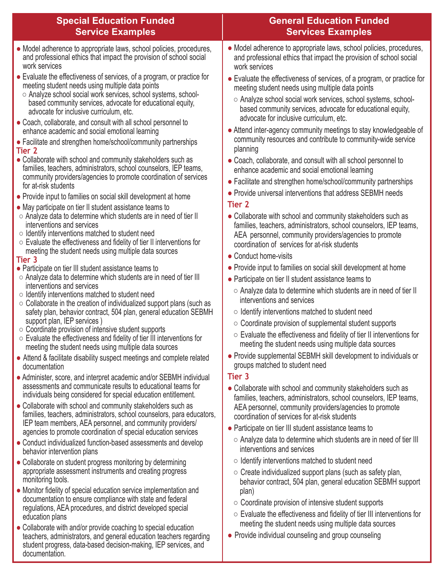| <b>Special Education Funded</b><br><b>Service Examples</b>                                                                                                                                                        | <b>General Education Funded</b><br><b>Services Examples</b>                                                                                                                                            |
|-------------------------------------------------------------------------------------------------------------------------------------------------------------------------------------------------------------------|--------------------------------------------------------------------------------------------------------------------------------------------------------------------------------------------------------|
| • Model adherence to appropriate laws, school policies, procedures,<br>and professional ethics that impact the provision of school social<br>work services                                                        | • Model adherence to appropriate laws, school policies, procedures,<br>and professional ethics that impact the provision of school social<br>work services                                             |
| • Evaluate the effectiveness of services, of a program, or practice for<br>meeting student needs using multiple data points<br>○ Analyze school social work services, school systems, school-                     | • Evaluate the effectiveness of services, of a program, or practice for<br>meeting student needs using multiple data points                                                                            |
| based community services, advocate for educational equity,<br>advocate for inclusive curriculum, etc.<br>• Coach, collaborate, and consult with all school personnel to                                           | ○ Analyze school social work services, school systems, school-<br>based community services, advocate for educational equity,<br>advocate for inclusive curriculum, etc.                                |
| enhance academic and social emotional learning<br>• Facilitate and strengthen home/school/community partnerships                                                                                                  | • Attend inter-agency community meetings to stay knowledgeable of<br>community resources and contribute to community-wide service<br>planning                                                          |
| Tier 2<br>• Collaborate with school and community stakeholders such as<br>families, teachers, administrators, school counselors, IEP teams,                                                                       | • Coach, collaborate, and consult with all school personnel to<br>enhance academic and social emotional learning                                                                                       |
| community providers/agencies to promote coordination of services<br>for at-risk students<br>• Provide input to families on social skill development at home                                                       | • Facilitate and strengthen home/school/community partnerships<br>• Provide universal interventions that address SEBMH needs                                                                           |
| • May participate on tier II student assistance teams to<br>○ Analyze data to determine which students are in need of tier II<br>interventions and services<br>○ Identify interventions matched to student need   | Tier 2<br>• Collaborate with school and community stakeholders such as<br>families, teachers, administrators, school counselors, IEP teams,<br>AEA personnel, community providers/agencies to promote  |
| $\circ$ Evaluate the effectiveness and fidelity of tier II interventions for<br>meeting the student needs using multiple data sources<br>Tier 3                                                                   | coordination of services for at-risk students<br>• Conduct home-visits                                                                                                                                 |
| • Participate on tier III student assistance teams to<br>○ Analyze data to determine which students are in need of tier III<br>interventions and services                                                         | • Provide input to families on social skill development at home<br>• Participate on tier II student assistance teams to<br>$\circ$ Analyze data to determine which students are in need of tier II     |
| o Identify interventions matched to student need<br>○ Collaborate in the creation of individualized support plans (such as<br>safety plan, behavior contract, 504 plan, general education SEBMH                   | interventions and services<br>○ Identify interventions matched to student need                                                                                                                         |
| support plan, IEP services)<br>$\circ$ Coordinate provision of intensive student supports<br>$\circ$ Evaluate the effectiveness and fidelity of tier III interventions for                                        | $\circ$ Coordinate provision of supplemental student supports<br>$\circ$ Evaluate the effectiveness and fidelity of tier II interventions for<br>meeting the student needs using multiple data sources |
| meeting the student needs using multiple data sources<br>• Attend & facilitate disability suspect meetings and complete related<br>documentation                                                                  | • Provide supplemental SEBMH skill development to individuals or<br>groups matched to student need                                                                                                     |
| • Administer, score, and interpret academic and/or SEBMH individual<br>assessments and communicate results to educational teams for<br>individuals being considered for special education entitlement.            | Tier <sub>3</sub><br>• Collaborate with school and community stakeholders such as<br>families, teachers, administrators, school counselors, IEP teams,                                                 |
| • Collaborate with school and community stakeholders such as<br>families, teachers, administrators, school counselors, para educators,<br>IEP team members, AEA personnel, and community providers/               | AEA personnel, community providers/agencies to promote<br>coordination of services for at-risk students                                                                                                |
| agencies to promote coordination of special education services<br>• Conduct individualized function-based assessments and develop<br>behavior intervention plans                                                  | • Participate on tier III student assistance teams to<br>$\circ$ Analyze data to determine which students are in need of tier III<br>interventions and services                                        |
| • Collaborate on student progress monitoring by determining<br>appropriate assessment instruments and creating progress<br>monitoring tools.                                                                      | $\circ$ Identify interventions matched to student need<br>$\circ$ Create individualized support plans (such as safety plan,<br>behavior contract, 504 plan, general education SEBMH support            |
| • Monitor fidelity of special education service implementation and<br>documentation to ensure compliance with state and federal<br>regulations, AEA procedures, and district developed special<br>education plans | plan)<br>$\circ$ Coordinate provision of intensive student supports<br>$\circ$ Evaluate the effectiveness and fidelity of tier III interventions for                                                   |
| e Collaborate with and/or provide coaching to special education                                                                                                                                                   | meeting the student needs using multiple data sources                                                                                                                                                  |

• Collaborate with and/or provide coaching to special education teachers, administrators, and general education teachers regarding student progress, data-based decision-making, IEP services, and documentation.

● Provide individual counseling and group counseling